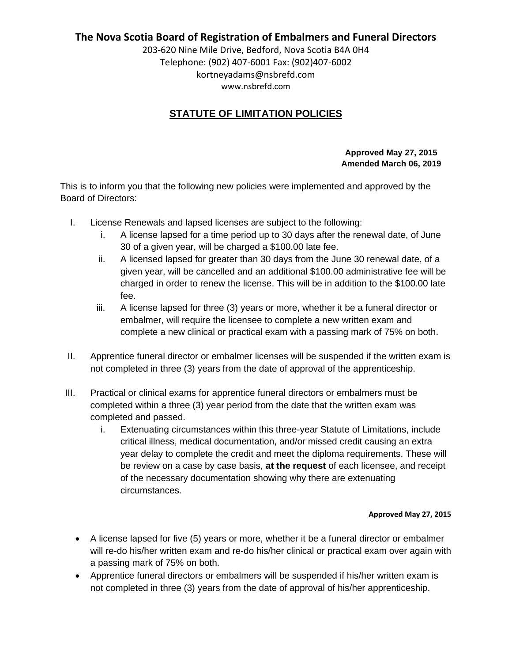### **The Nova Scotia Board of Registration of Embalmers and Funeral Directors**

203-620 Nine Mile Drive, Bedford, Nova Scotia B4A 0H4 Telephone: (902) 407-6001 Fax: (902)407-6002 kortneyadams@nsbrefd.com www.nsbrefd.com

# **STATUTE OF LIMITATION POLICIES**

### **Approved May 27, 2015 Amended March 06, 2019**

This is to inform you that the following new policies were implemented and approved by the Board of Directors:

- I. License Renewals and lapsed licenses are subject to the following:
	- i. A license lapsed for a time period up to 30 days after the renewal date, of June 30 of a given year, will be charged a \$100.00 late fee.
	- ii. A licensed lapsed for greater than 30 days from the June 30 renewal date, of a given year, will be cancelled and an additional \$100.00 administrative fee will be charged in order to renew the license. This will be in addition to the \$100.00 late fee.
	- iii. A license lapsed for three (3) years or more, whether it be a funeral director or embalmer, will require the licensee to complete a new written exam and complete a new clinical or practical exam with a passing mark of 75% on both.
- II. Apprentice funeral director or embalmer licenses will be suspended if the written exam is not completed in three (3) years from the date of approval of the apprenticeship.
- III. Practical or clinical exams for apprentice funeral directors or embalmers must be completed within a three (3) year period from the date that the written exam was completed and passed.
	- i. Extenuating circumstances within this three-year Statute of Limitations, include critical illness, medical documentation, and/or missed credit causing an extra year delay to complete the credit and meet the diploma requirements. These will be review on a case by case basis, **at the request** of each licensee, and receipt of the necessary documentation showing why there are extenuating circumstances.

#### **Approved May 27, 2015**

- A license lapsed for five (5) years or more, whether it be a funeral director or embalmer will re-do his/her written exam and re-do his/her clinical or practical exam over again with a passing mark of 75% on both.
- Apprentice funeral directors or embalmers will be suspended if his/her written exam is not completed in three (3) years from the date of approval of his/her apprenticeship.